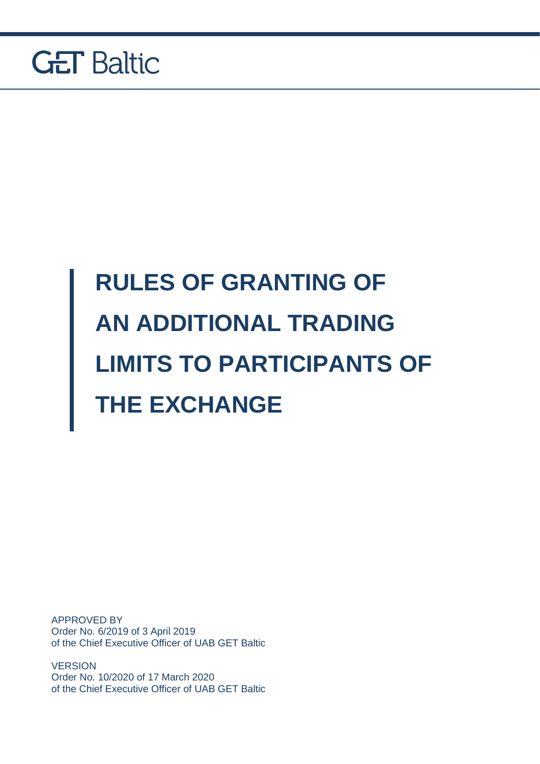

# **RULES OF GRANTING OF AN ADDITIONAL TRADING LIMITS TO PARTICIPANTS OF THE EXCHANGE**

APPROVED BY Order No. 6/2019 of 3 April 2019 of the Chief Executive Officer of UAB GET Baltic

**VERSION** Order No. 10/2020 of 17 March 2020 of the Chief Executive Officer of UAB GET Baltic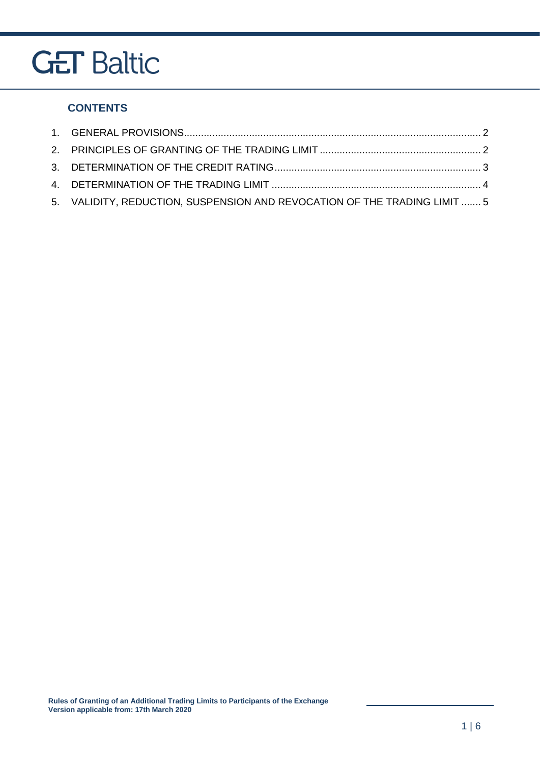#### **CONTENTS**

| 5. VALIDITY, REDUCTION, SUSPENSION AND REVOCATION OF THE TRADING LIMIT  5 |  |
|---------------------------------------------------------------------------|--|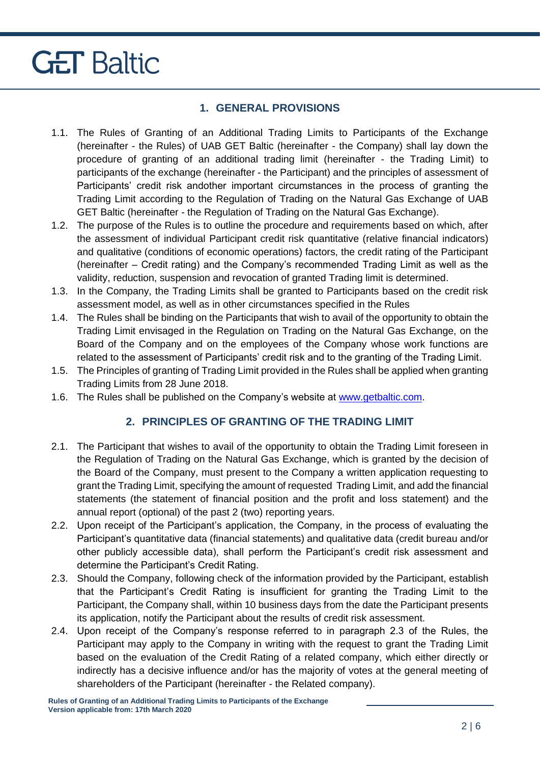#### **1. GENERAL PROVISIONS**

- <span id="page-2-0"></span>1.1. The Rules of Granting of an Additional Trading Limits to Participants of the Exchange (hereinafter - the Rules) of UAB GET Baltic (hereinafter - the Company) shall lay down the procedure of granting of an additional trading limit (hereinafter - the Trading Limit) to participants of the exchange (hereinafter - the Participant) and the principles of assessment of Participants' credit risk andother important circumstances in the process of granting the Trading Limit according to the Regulation of Trading on the Natural Gas Exchange of UAB GET Baltic (hereinafter - the Regulation of Trading on the Natural Gas Exchange).
- 1.2. The purpose of the Rules is to outline the procedure and requirements based on which, after the assessment of individual Participant credit risk quantitative (relative financial indicators) and qualitative (conditions of economic operations) factors, the credit rating of the Participant (hereinafter – Credit rating) and the Company's recommended Trading Limit as well as the validity, reduction, suspension and revocation of granted Trading limit is determined.
- 1.3. In the Company, the Trading Limits shall be granted to Participants based on the credit risk assessment model, as well as in other circumstances specified in the Rules
- 1.4. The Rules shall be binding on the Participants that wish to avail of the opportunity to obtain the Trading Limit envisaged in the Regulation on Trading on the Natural Gas Exchange, on the Board of the Company and on the employees of the Company whose work functions are related to the assessment of Participants' credit risk and to the granting of the Trading Limit.
- 1.5. The Principles of granting of Trading Limit provided in the Rules shall be applied when granting Trading Limits from 28 June 2018.
- <span id="page-2-1"></span>1.6. The Rules shall be published on the Company's website at [www.getbaltic.com.](http://www.getbaltic.com/)

#### **2. PRINCIPLES OF GRANTING OF THE TRADING LIMIT**

- 2.1. The Participant that wishes to avail of the opportunity to obtain the Trading Limit foreseen in the Regulation of Trading on the Natural Gas Exchange, which is granted by the decision of the Board of the Company, must present to the Company a written application requesting to grant the Trading Limit, specifying the amount of requested Trading Limit, and add the financial statements (the statement of financial position and the profit and loss statement) and the annual report (optional) of the past 2 (two) reporting years.
- 2.2. Upon receipt of the Participant's application, the Company, in the process of evaluating the Participant's quantitative data (financial statements) and qualitative data (credit bureau and/or other publicly accessible data), shall perform the Participant's credit risk assessment and determine the Participant's Credit Rating.
- 2.3. Should the Company, following check of the information provided by the Participant, establish that the Participant's Credit Rating is insufficient for granting the Trading Limit to the Participant, the Company shall, within 10 business days from the date the Participant presents its application, notify the Participant about the results of credit risk assessment.
- 2.4. Upon receipt of the Company's response referred to in paragraph 2.3 of the Rules, the Participant may apply to the Company in writing with the request to grant the Trading Limit based on the evaluation of the Credit Rating of a related company, which either directly or indirectly has a decisive influence and/or has the majority of votes at the general meeting of shareholders of the Participant (hereinafter - the Related company).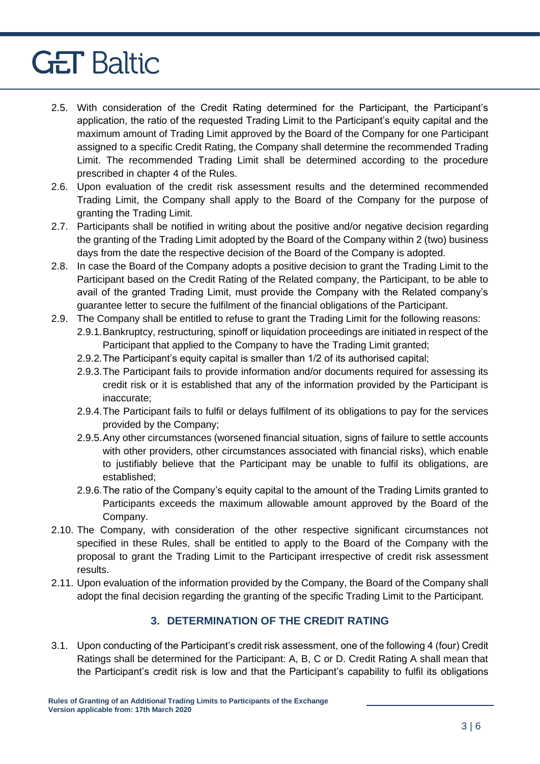- 2.5. With consideration of the Credit Rating determined for the Participant, the Participant's application, the ratio of the requested Trading Limit to the Participant's equity capital and the maximum amount of Trading Limit approved by the Board of the Company for one Participant assigned to a specific Credit Rating, the Company shall determine the recommended Trading Limit. The recommended Trading Limit shall be determined according to the procedure prescribed in chapter 4 of the Rules.
- 2.6. Upon evaluation of the credit risk assessment results and the determined recommended Trading Limit, the Company shall apply to the Board of the Company for the purpose of granting the Trading Limit.
- 2.7. Participants shall be notified in writing about the positive and/or negative decision regarding the granting of the Trading Limit adopted by the Board of the Company within 2 (two) business days from the date the respective decision of the Board of the Company is adopted.
- 2.8. In case the Board of the Company adopts a positive decision to grant the Trading Limit to the Participant based on the Credit Rating of the Related company, the Participant, to be able to avail of the granted Trading Limit, must provide the Company with the Related company's guarantee letter to secure the fulfilment of the financial obligations of the Participant.
- 2.9. The Company shall be entitled to refuse to grant the Trading Limit for the following reasons: 2.9.1.Bankruptcy, restructuring, spinoff or liquidation proceedings are initiated in respect of the Participant that applied to the Company to have the Trading Limit granted;
	- 2.9.2.The Participant's equity capital is smaller than 1/2 of its authorised capital;
	- 2.9.3.The Participant fails to provide information and/or documents required for assessing its credit risk or it is established that any of the information provided by the Participant is inaccurate;
	- 2.9.4.The Participant fails to fulfil or delays fulfilment of its obligations to pay for the services provided by the Company;
	- 2.9.5.Any other circumstances (worsened financial situation, signs of failure to settle accounts with other providers, other circumstances associated with financial risks), which enable to justifiably believe that the Participant may be unable to fulfil its obligations, are established;
	- 2.9.6.The ratio of the Company's equity capital to the amount of the Trading Limits granted to Participants exceeds the maximum allowable amount approved by the Board of the Company.
- 2.10. The Company, with consideration of the other respective significant circumstances not specified in these Rules, shall be entitled to apply to the Board of the Company with the proposal to grant the Trading Limit to the Participant irrespective of credit risk assessment results.
- 2.11. Upon evaluation of the information provided by the Company, the Board of the Company shall adopt the final decision regarding the granting of the specific Trading Limit to the Participant.

#### **3. DETERMINATION OF THE CREDIT RATING**

<span id="page-3-0"></span>3.1. Upon conducting of the Participant's credit risk assessment, one of the following 4 (four) Credit Ratings shall be determined for the Participant: A, B, C or D. Credit Rating A shall mean that the Participant's credit risk is low and that the Participant's capability to fulfil its obligations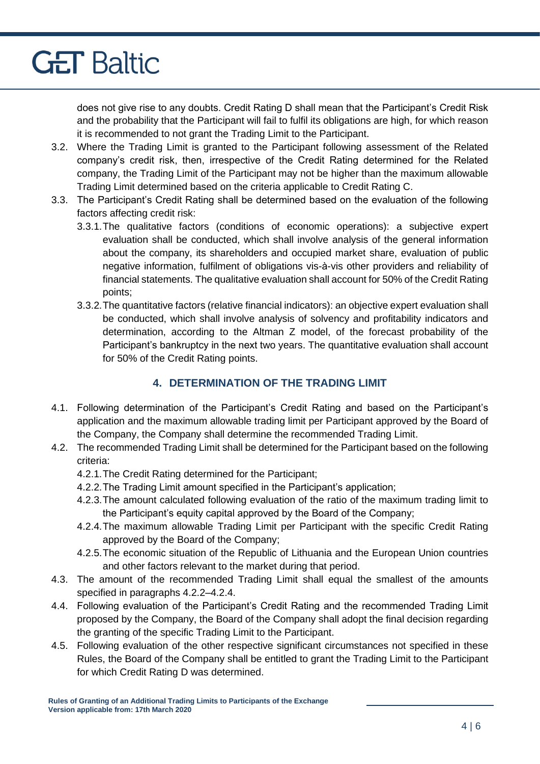does not give rise to any doubts. Credit Rating D shall mean that the Participant's Credit Risk and the probability that the Participant will fail to fulfil its obligations are high, for which reason it is recommended to not grant the Trading Limit to the Participant.

- 3.2. Where the Trading Limit is granted to the Participant following assessment of the Related company's credit risk, then, irrespective of the Credit Rating determined for the Related company, the Trading Limit of the Participant may not be higher than the maximum allowable Trading Limit determined based on the criteria applicable to Credit Rating C.
- 3.3. The Participant's Credit Rating shall be determined based on the evaluation of the following factors affecting credit risk:
	- 3.3.1.The qualitative factors (conditions of economic operations): a subjective expert evaluation shall be conducted, which shall involve analysis of the general information about the company, its shareholders and occupied market share, evaluation of public negative information, fulfilment of obligations vis-à-vis other providers and reliability of financial statements. The qualitative evaluation shall account for 50% of the Credit Rating points;
	- 3.3.2.The quantitative factors (relative financial indicators): an objective expert evaluation shall be conducted, which shall involve analysis of solvency and profitability indicators and determination, according to the Altman Z model, of the forecast probability of the Participant's bankruptcy in the next two years. The quantitative evaluation shall account for 50% of the Credit Rating points.

#### **4. DETERMINATION OF THE TRADING LIMIT**

- <span id="page-4-0"></span>4.1. Following determination of the Participant's Credit Rating and based on the Participant's application and the maximum allowable trading limit per Participant approved by the Board of the Company, the Company shall determine the recommended Trading Limit.
- 4.2. The recommended Trading Limit shall be determined for the Participant based on the following criteria:
	- 4.2.1.The Credit Rating determined for the Participant;
	- 4.2.2.The Trading Limit amount specified in the Participant's application;
	- 4.2.3.The amount calculated following evaluation of the ratio of the maximum trading limit to the Participant's equity capital approved by the Board of the Company;
	- 4.2.4.The maximum allowable Trading Limit per Participant with the specific Credit Rating approved by the Board of the Company;
	- 4.2.5.The economic situation of the Republic of Lithuania and the European Union countries and other factors relevant to the market during that period.
- 4.3. The amount of the recommended Trading Limit shall equal the smallest of the amounts specified in paragraphs 4.2.2–4.2.4.
- 4.4. Following evaluation of the Participant's Credit Rating and the recommended Trading Limit proposed by the Company, the Board of the Company shall adopt the final decision regarding the granting of the specific Trading Limit to the Participant.
- 4.5. Following evaluation of the other respective significant circumstances not specified in these Rules, the Board of the Company shall be entitled to grant the Trading Limit to the Participant for which Credit Rating D was determined.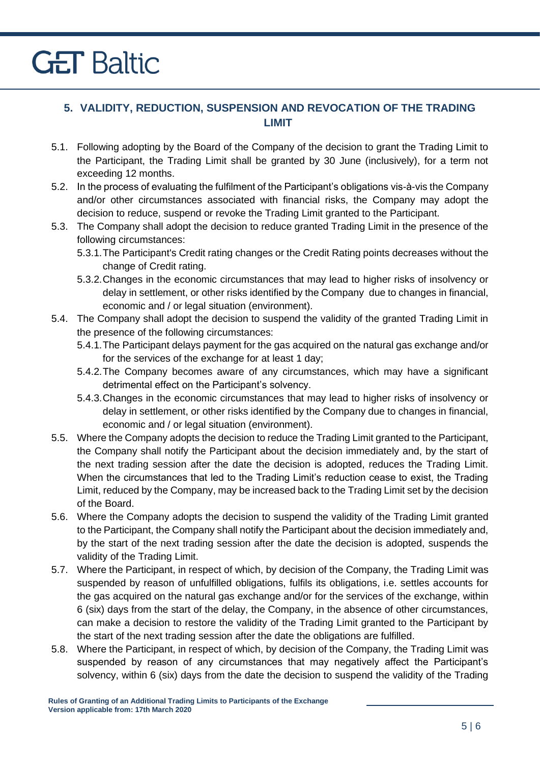#### <span id="page-5-0"></span>**5. VALIDITY, REDUCTION, SUSPENSION AND REVOCATION OF THE TRADING LIMIT**

- 5.1. Following adopting by the Board of the Company of the decision to grant the Trading Limit to the Participant, the Trading Limit shall be granted by 30 June (inclusively), for a term not exceeding 12 months.
- 5.2. In the process of evaluating the fulfilment of the Participant's obligations vis-à-vis the Company and/or other circumstances associated with financial risks, the Company may adopt the decision to reduce, suspend or revoke the Trading Limit granted to the Participant.
- 5.3. The Company shall adopt the decision to reduce granted Trading Limit in the presence of the following circumstances:
	- 5.3.1.The Participant's Credit rating changes or the Credit Rating points decreases without the change of Credit rating.
	- 5.3.2.Changes in the economic circumstances that may lead to higher risks of insolvency or delay in settlement, or other risks identified by the Company due to changes in financial, economic and / or legal situation (environment).
- 5.4. The Company shall adopt the decision to suspend the validity of the granted Trading Limit in the presence of the following circumstances:
	- 5.4.1.The Participant delays payment for the gas acquired on the natural gas exchange and/or for the services of the exchange for at least 1 day;
	- 5.4.2.The Company becomes aware of any circumstances, which may have a significant detrimental effect on the Participant's solvency.
	- 5.4.3.Changes in the economic circumstances that may lead to higher risks of insolvency or delay in settlement, or other risks identified by the Company due to changes in financial, economic and / or legal situation (environment).
- 5.5. Where the Company adopts the decision to reduce the Trading Limit granted to the Participant, the Company shall notify the Participant about the decision immediately and, by the start of the next trading session after the date the decision is adopted, reduces the Trading Limit. When the circumstances that led to the Trading Limit's reduction cease to exist, the Trading Limit, reduced by the Company, may be increased back to the Trading Limit set by the decision of the Board.
- 5.6. Where the Company adopts the decision to suspend the validity of the Trading Limit granted to the Participant, the Company shall notify the Participant about the decision immediately and, by the start of the next trading session after the date the decision is adopted, suspends the validity of the Trading Limit.
- 5.7. Where the Participant, in respect of which, by decision of the Company, the Trading Limit was suspended by reason of unfulfilled obligations, fulfils its obligations, i.e. settles accounts for the gas acquired on the natural gas exchange and/or for the services of the exchange, within 6 (six) days from the start of the delay, the Company, in the absence of other circumstances, can make a decision to restore the validity of the Trading Limit granted to the Participant by the start of the next trading session after the date the obligations are fulfilled.
- 5.8. Where the Participant, in respect of which, by decision of the Company, the Trading Limit was suspended by reason of any circumstances that may negatively affect the Participant's solvency, within 6 (six) days from the date the decision to suspend the validity of the Trading